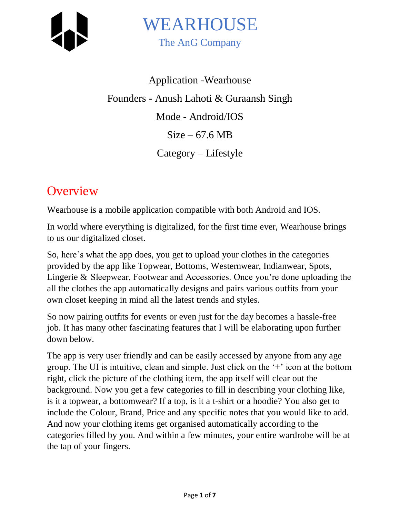

Application -Wearhouse Founders - Anush Lahoti & Guraansh Singh Mode - Android/IOS  $Size - 67.6 MB$ Category – Lifestyle

# **Overview**

Wearhouse is a mobile application compatible with both Android and IOS.

In world where everything is digitalized, for the first time ever, Wearhouse brings to us our digitalized closet.

So, here's what the app does, you get to upload your clothes in the categories provided by the app like Topwear, Bottoms, Westernwear, Indianwear, Spots, Lingerie & Sleepwear, Footwear and Accessories. Once you're done uploading the all the clothes the app automatically designs and pairs various outfits from your own closet keeping in mind all the latest trends and styles.

So now pairing outfits for events or even just for the day becomes a hassle-free job. It has many other fascinating features that I will be elaborating upon further down below.

The app is very user friendly and can be easily accessed by anyone from any age group. The UI is intuitive, clean and simple. Just click on the '+' icon at the bottom right, click the picture of the clothing item, the app itself will clear out the background. Now you get a few categories to fill in describing your clothing like, is it a topwear, a bottomwear? If a top, is it a t-shirt or a hoodie? You also get to include the Colour, Brand, Price and any specific notes that you would like to add. And now your clothing items get organised automatically according to the categories filled by you. And within a few minutes, your entire wardrobe will be at the tap of your fingers.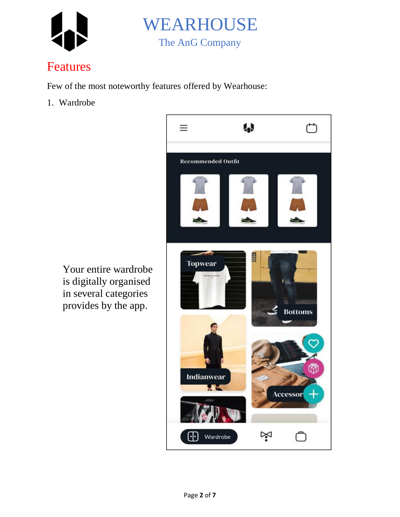



# Features

Few of the most noteworthy features offered by Wearhouse:

1. Wardrobe



Your entire wardrobe is digitally organised in several categories provides by the app.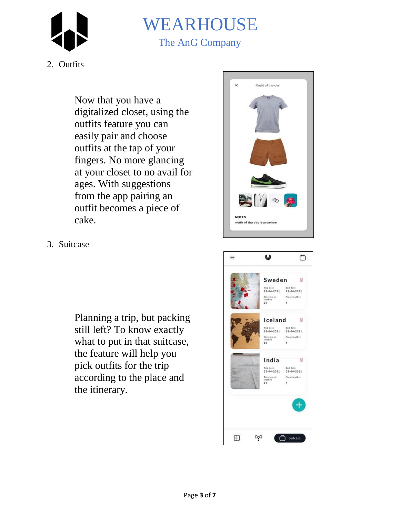



#### 2. Outfits

Now that you have a digitalized closet, using the outfits feature you can easily pair and choose outfits at the tap of your fingers. No more glancing at your closet to no avail for ages. With suggestions from the app pairing an outfit becomes a piece of cake.

3. Suitcase

Planning a trip, but packing still left? To know exactly what to put in that suitcase, the feature will help you pick outfits for the trip according to the place and the itinerary.



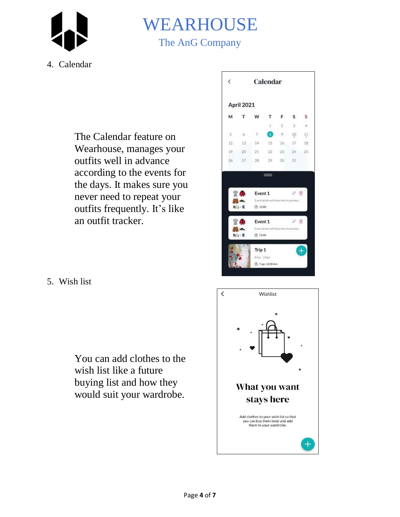

# WEARHOUSE The AnG Company

### 4. Calendar

The Calendar feature on Wearhouse, manages your outfits well in advance according to the events for the days. It makes sure you never need to repeat your outfits frequently. It's like an outfit tracker.



5. Wish list

You can add clothes to the wish list like a future buying list and how they would suit your wardrobe.

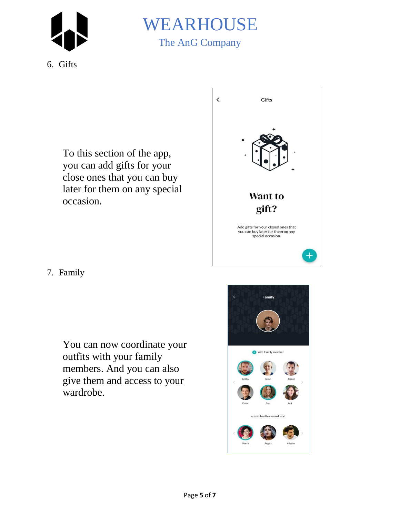



6. Gifts

To this section of the app, you can add gifts for your close ones that you can buy later for them on any special occasion.



7. Family

You can now coordinate your outfits with your family members. And you can also give them and access to your wardrobe.

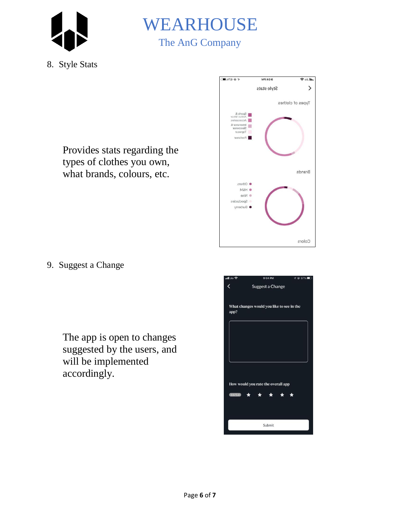



8. Style Stats

Provides stats regarding the types of clothes you own, what brands, colours, etc.



9. Suggest a Change

The app is open to changes suggested by the users, and will be implemented accordingly.